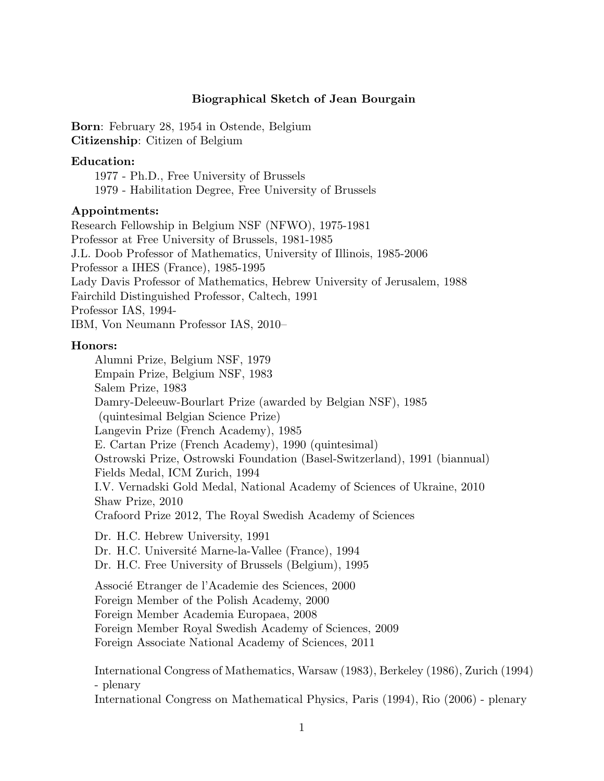# Biographical Sketch of Jean Bourgain

Born: February 28, 1954 in Ostende, Belgium Citizenship: Citizen of Belgium

## Education:

1977 - Ph.D., Free University of Brussels 1979 - Habilitation Degree, Free University of Brussels

## Appointments:

Research Fellowship in Belgium NSF (NFWO), 1975-1981 Professor at Free University of Brussels, 1981-1985 J.L. Doob Professor of Mathematics, University of Illinois, 1985-2006 Professor a IHES (France), 1985-1995 Lady Davis Professor of Mathematics, Hebrew University of Jerusalem, 1988 Fairchild Distinguished Professor, Caltech, 1991 Professor IAS, 1994- IBM, Von Neumann Professor IAS, 2010–

# Honors:

Alumni Prize, Belgium NSF, 1979 Empain Prize, Belgium NSF, 1983 Salem Prize, 1983 Damry-Deleeuw-Bourlart Prize (awarded by Belgian NSF), 1985 (quintesimal Belgian Science Prize) Langevin Prize (French Academy), 1985 E. Cartan Prize (French Academy), 1990 (quintesimal) Ostrowski Prize, Ostrowski Foundation (Basel-Switzerland), 1991 (biannual) Fields Medal, ICM Zurich, 1994 I.V. Vernadski Gold Medal, National Academy of Sciences of Ukraine, 2010 Shaw Prize, 2010 Crafoord Prize 2012, The Royal Swedish Academy of Sciences Dr. H.C. Hebrew University, 1991 Dr. H.C. Université Marne-la-Vallee (France), 1994 Dr. H.C. Free University of Brussels (Belgium), 1995 Associé Etranger de l'Academie des Sciences, 2000 Foreign Member of the Polish Academy, 2000 Foreign Member Academia Europaea, 2008 Foreign Member Royal Swedish Academy of Sciences, 2009 Foreign Associate National Academy of Sciences, 2011

International Congress of Mathematics, Warsaw (1983), Berkeley (1986), Zurich (1994) - plenary

International Congress on Mathematical Physics, Paris (1994), Rio (2006) - plenary